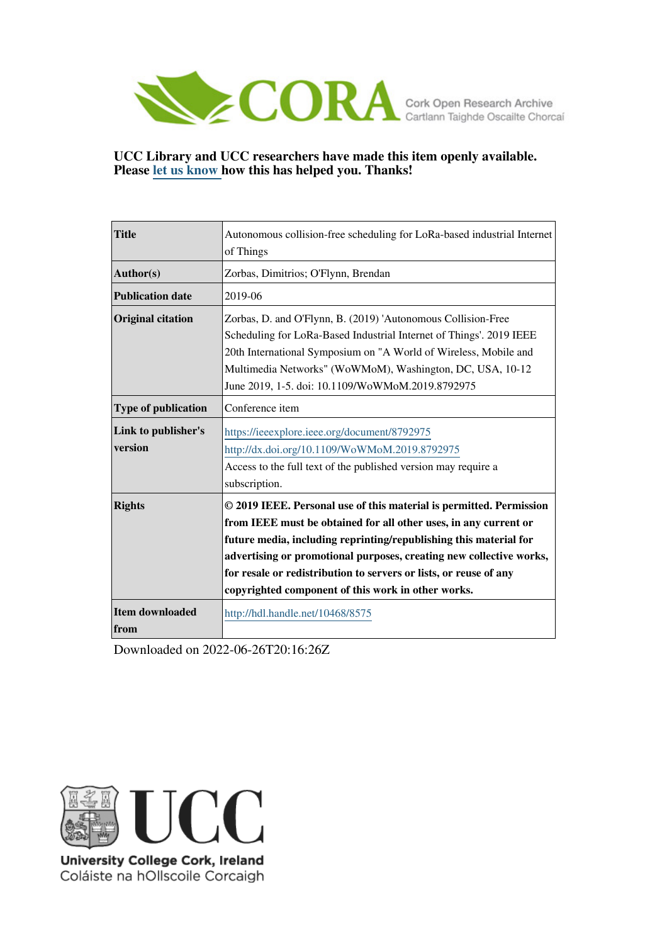

# **UCC Library and UCC researchers have made this item openly available. Please [let us know h](https://libguides.ucc.ie/openaccess/impact?suffix=8575&title=Autonomous collision-free scheduling for LoRa-based industrial Internet of Things)ow this has helped you. Thanks!**

| <b>Title</b>                   | Autonomous collision-free scheduling for LoRa-based industrial Internet                                                                                                                                                                                                                                                                                                                                        |  |  |
|--------------------------------|----------------------------------------------------------------------------------------------------------------------------------------------------------------------------------------------------------------------------------------------------------------------------------------------------------------------------------------------------------------------------------------------------------------|--|--|
|                                | of Things                                                                                                                                                                                                                                                                                                                                                                                                      |  |  |
| Author(s)                      | Zorbas, Dimitrios; O'Flynn, Brendan                                                                                                                                                                                                                                                                                                                                                                            |  |  |
| <b>Publication date</b>        | 2019-06                                                                                                                                                                                                                                                                                                                                                                                                        |  |  |
| <b>Original citation</b>       | Zorbas, D. and O'Flynn, B. (2019) 'Autonomous Collision-Free<br>Scheduling for LoRa-Based Industrial Internet of Things'. 2019 IEEE<br>20th International Symposium on "A World of Wireless, Mobile and<br>Multimedia Networks" (WoWMoM), Washington, DC, USA, 10-12<br>June 2019, 1-5. doi: 10.1109/WoWMoM.2019.8792975                                                                                       |  |  |
| <b>Type of publication</b>     | Conference item                                                                                                                                                                                                                                                                                                                                                                                                |  |  |
| Link to publisher's<br>version | https://ieeexplore.ieee.org/document/8792975<br>http://dx.doi.org/10.1109/WoWMoM.2019.8792975<br>Access to the full text of the published version may require a<br>subscription.                                                                                                                                                                                                                               |  |  |
| <b>Rights</b>                  | © 2019 IEEE. Personal use of this material is permitted. Permission<br>from IEEE must be obtained for all other uses, in any current or<br>future media, including reprinting/republishing this material for<br>advertising or promotional purposes, creating new collective works,<br>for resale or redistribution to servers or lists, or reuse of any<br>copyrighted component of this work in other works. |  |  |
| Item downloaded<br>from        | http://hdl.handle.net/10468/8575                                                                                                                                                                                                                                                                                                                                                                               |  |  |

Downloaded on 2022-06-26T20:16:26Z



University College Cork, Ireland Coláiste na hOllscoile Corcaigh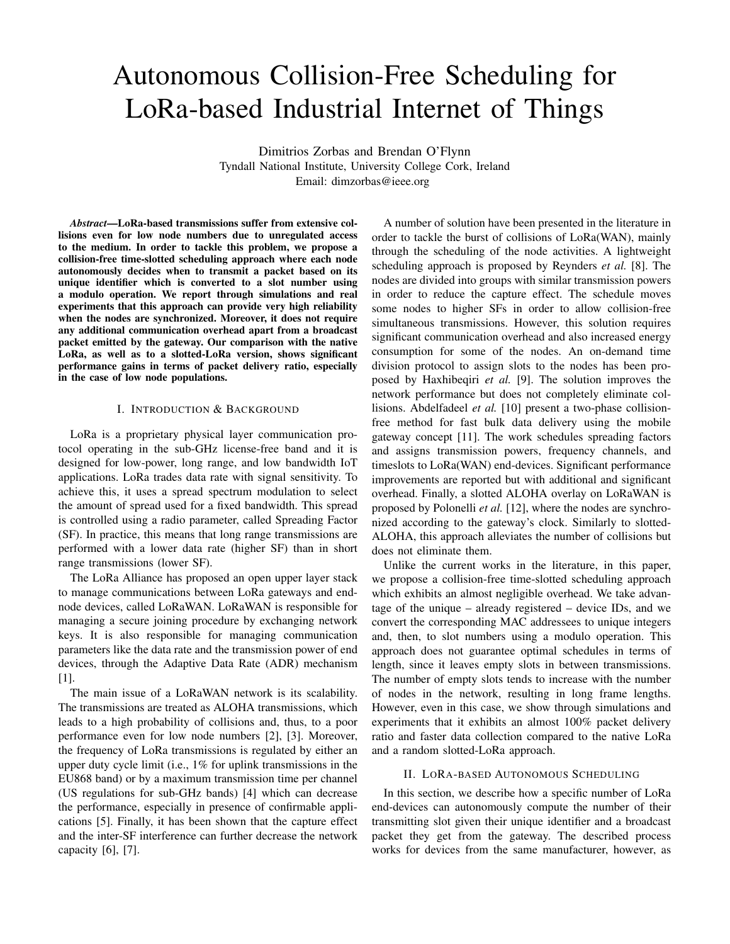# Autonomous Collision-Free Scheduling for LoRa-based Industrial Internet of Things

Dimitrios Zorbas and Brendan O'Flynn Tyndall National Institute, University College Cork, Ireland Email: dimzorbas@ieee.org

*Abstract*—LoRa-based transmissions suffer from extensive collisions even for low node numbers due to unregulated access to the medium. In order to tackle this problem, we propose a collision-free time-slotted scheduling approach where each node autonomously decides when to transmit a packet based on its unique identifier which is converted to a slot number using a modulo operation. We report through simulations and real experiments that this approach can provide very high reliability when the nodes are synchronized. Moreover, it does not require any additional communication overhead apart from a broadcast packet emitted by the gateway. Our comparison with the native LoRa, as well as to a slotted-LoRa version, shows significant performance gains in terms of packet delivery ratio, especially in the case of low node populations.

#### I. INTRODUCTION & BACKGROUND

LoRa is a proprietary physical layer communication protocol operating in the sub-GHz license-free band and it is designed for low-power, long range, and low bandwidth IoT applications. LoRa trades data rate with signal sensitivity. To achieve this, it uses a spread spectrum modulation to select the amount of spread used for a fixed bandwidth. This spread is controlled using a radio parameter, called Spreading Factor (SF). In practice, this means that long range transmissions are performed with a lower data rate (higher SF) than in short range transmissions (lower SF).

The LoRa Alliance has proposed an open upper layer stack to manage communications between LoRa gateways and endnode devices, called LoRaWAN. LoRaWAN is responsible for managing a secure joining procedure by exchanging network keys. It is also responsible for managing communication parameters like the data rate and the transmission power of end devices, through the Adaptive Data Rate (ADR) mechanism [1].

The main issue of a LoRaWAN network is its scalability. The transmissions are treated as ALOHA transmissions, which leads to a high probability of collisions and, thus, to a poor performance even for low node numbers [2], [3]. Moreover, the frequency of LoRa transmissions is regulated by either an upper duty cycle limit (i.e., 1% for uplink transmissions in the EU868 band) or by a maximum transmission time per channel (US regulations for sub-GHz bands) [4] which can decrease the performance, especially in presence of confirmable applications [5]. Finally, it has been shown that the capture effect and the inter-SF interference can further decrease the network capacity [6], [7].

A number of solution have been presented in the literature in order to tackle the burst of collisions of LoRa(WAN), mainly through the scheduling of the node activities. A lightweight scheduling approach is proposed by Reynders *et al.* [8]. The nodes are divided into groups with similar transmission powers in order to reduce the capture effect. The schedule moves some nodes to higher SFs in order to allow collision-free simultaneous transmissions. However, this solution requires significant communication overhead and also increased energy consumption for some of the nodes. An on-demand time division protocol to assign slots to the nodes has been proposed by Haxhibeqiri *et al.* [9]. The solution improves the network performance but does not completely eliminate collisions. Abdelfadeel *et al.* [10] present a two-phase collisionfree method for fast bulk data delivery using the mobile gateway concept [11]. The work schedules spreading factors and assigns transmission powers, frequency channels, and timeslots to LoRa(WAN) end-devices. Significant performance improvements are reported but with additional and significant overhead. Finally, a slotted ALOHA overlay on LoRaWAN is proposed by Polonelli *et al.* [12], where the nodes are synchronized according to the gateway's clock. Similarly to slotted-ALOHA, this approach alleviates the number of collisions but does not eliminate them.

Unlike the current works in the literature, in this paper, we propose a collision-free time-slotted scheduling approach which exhibits an almost negligible overhead. We take advantage of the unique – already registered – device IDs, and we convert the corresponding MAC addressees to unique integers and, then, to slot numbers using a modulo operation. This approach does not guarantee optimal schedules in terms of length, since it leaves empty slots in between transmissions. The number of empty slots tends to increase with the number of nodes in the network, resulting in long frame lengths. However, even in this case, we show through simulations and experiments that it exhibits an almost 100% packet delivery ratio and faster data collection compared to the native LoRa and a random slotted-LoRa approach.

#### II. LORA-BASED AUTONOMOUS SCHEDULING

In this section, we describe how a specific number of LoRa end-devices can autonomously compute the number of their transmitting slot given their unique identifier and a broadcast packet they get from the gateway. The described process works for devices from the same manufacturer, however, as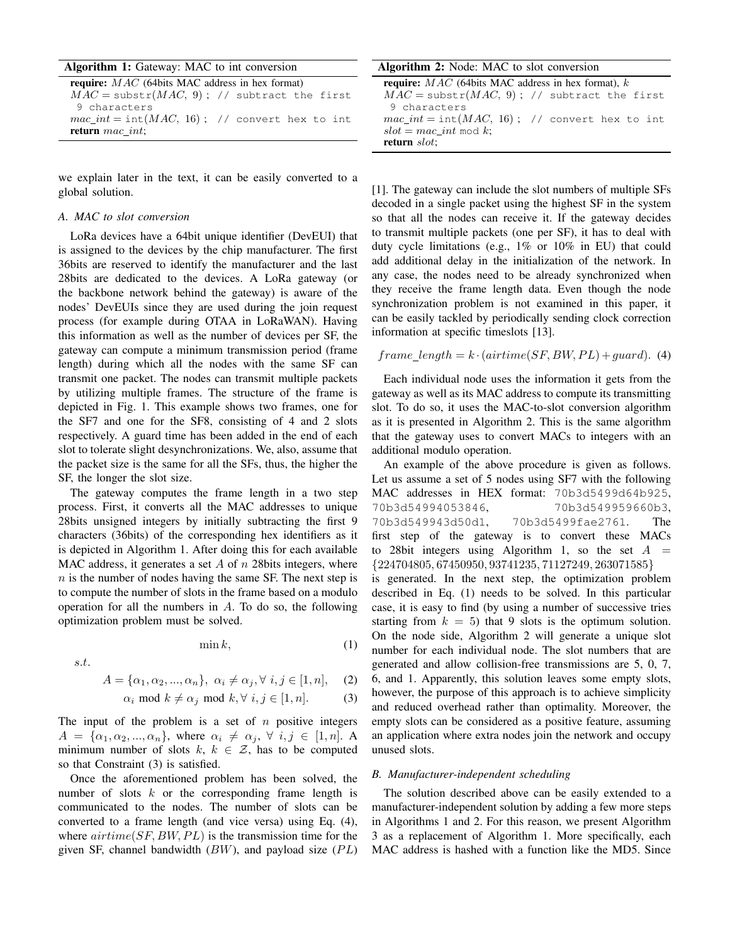## Algorithm 1: Gateway: MAC to int conversion

| <b>require:</b> $MAC$ (64bits MAC address in hex format) |  |  |  |  |  |  |  |
|----------------------------------------------------------|--|--|--|--|--|--|--|
| $MAC = substr(MAC, 9)$ ; // subtract the first           |  |  |  |  |  |  |  |
| 9 characters                                             |  |  |  |  |  |  |  |
| $mac\_int = int(MAC, 16)$ ; // convert hex to int        |  |  |  |  |  |  |  |
| return $mac$ int;                                        |  |  |  |  |  |  |  |

we explain later in the text, it can be easily converted to a global solution.

#### *A. MAC to slot conversion*

LoRa devices have a 64bit unique identifier (DevEUI) that is assigned to the devices by the chip manufacturer. The first 36bits are reserved to identify the manufacturer and the last 28bits are dedicated to the devices. A LoRa gateway (or the backbone network behind the gateway) is aware of the nodes' DevEUIs since they are used during the join request process (for example during OTAA in LoRaWAN). Having this information as well as the number of devices per SF, the gateway can compute a minimum transmission period (frame length) during which all the nodes with the same SF can transmit one packet. The nodes can transmit multiple packets by utilizing multiple frames. The structure of the frame is depicted in Fig. 1. This example shows two frames, one for the SF7 and one for the SF8, consisting of 4 and 2 slots respectively. A guard time has been added in the end of each slot to tolerate slight desynchronizations. We, also, assume that the packet size is the same for all the SFs, thus, the higher the SF, the longer the slot size.

The gateway computes the frame length in a two step process. First, it converts all the MAC addresses to unique 28bits unsigned integers by initially subtracting the first 9 characters (36bits) of the corresponding hex identifiers as it is depicted in Algorithm 1. After doing this for each available MAC address, it generates a set  $A$  of  $n$  28bits integers, where  $n$  is the number of nodes having the same SF. The next step is to compute the number of slots in the frame based on a modulo operation for all the numbers in  $A$ . To do so, the following optimization problem must be solved.

$$
\min k,\tag{1}
$$

s.t.

$$
A = \{\alpha_1, \alpha_2, ..., \alpha_n\}, \ \alpha_i \neq \alpha_j, \forall \ i, j \in [1, n], \quad (2)
$$

$$
\alpha_i \text{ mod } k \neq \alpha_j \text{ mod } k, \forall i, j \in [1, n]. \tag{3}
$$

The input of the problem is a set of  $n$  positive integers  $A = {\alpha_1, \alpha_2, ..., \alpha_n}$ , where  $\alpha_i \neq \alpha_j, \forall i, j \in [1, n]$ . A minimum number of slots  $k, k \in \mathcal{Z}$ , has to be computed so that Constraint (3) is satisfied.

Once the aforementioned problem has been solved, the number of slots  $k$  or the corresponding frame length is communicated to the nodes. The number of slots can be converted to a frame length (and vice versa) using Eq. (4), where  $airtime(SF, BW, PL)$  is the transmission time for the given SF, channel bandwidth  $(BW)$ , and payload size  $(PL)$ 

# Algorithm 2: Node: MAC to slot conversion

require:  $MAC$  (64bits MAC address in hex format),  $k$  $MAC = substr(MAC, 9)$ ; // subtract the first 9 characters  $mac\_int = int(MAC, 16)$ ; // convert hex to int  $slot = mac\_int \bmod k;$ return slot;

[1]. The gateway can include the slot numbers of multiple SFs decoded in a single packet using the highest SF in the system so that all the nodes can receive it. If the gateway decides to transmit multiple packets (one per SF), it has to deal with duty cycle limitations (e.g., 1% or 10% in EU) that could add additional delay in the initialization of the network. In any case, the nodes need to be already synchronized when they receive the frame length data. Even though the node synchronization problem is not examined in this paper, it can be easily tackled by periodically sending clock correction information at specific timeslots [13].

$$
frame\_length = k \cdot (airtime(SF, BW, PL) + guard).
$$
 (4)

Each individual node uses the information it gets from the gateway as well as its MAC address to compute its transmitting slot. To do so, it uses the MAC-to-slot conversion algorithm as it is presented in Algorithm 2. This is the same algorithm that the gateway uses to convert MACs to integers with an additional modulo operation.

An example of the above procedure is given as follows. Let us assume a set of 5 nodes using SF7 with the following MAC addresses in HEX format: 70b3d5499d64b925, 70b3d54994053846, 70b3d549959660b3, 70b3d549943d50d1, 70b3d5499fae2761. The first step of the gateway is to convert these MACs to 28bit integers using Algorithm 1, so the set  $A =$ {224704805, 67450950, 93741235, 71127249, 263071585} is generated. In the next step, the optimization problem described in Eq. (1) needs to be solved. In this particular case, it is easy to find (by using a number of successive tries starting from  $k = 5$ ) that 9 slots is the optimum solution. On the node side, Algorithm 2 will generate a unique slot number for each individual node. The slot numbers that are generated and allow collision-free transmissions are 5, 0, 7, 6, and 1. Apparently, this solution leaves some empty slots, however, the purpose of this approach is to achieve simplicity and reduced overhead rather than optimality. Moreover, the empty slots can be considered as a positive feature, assuming an application where extra nodes join the network and occupy unused slots.

#### *B. Manufacturer-independent scheduling*

The solution described above can be easily extended to a manufacturer-independent solution by adding a few more steps in Algorithms 1 and 2. For this reason, we present Algorithm 3 as a replacement of Algorithm 1. More specifically, each MAC address is hashed with a function like the MD5. Since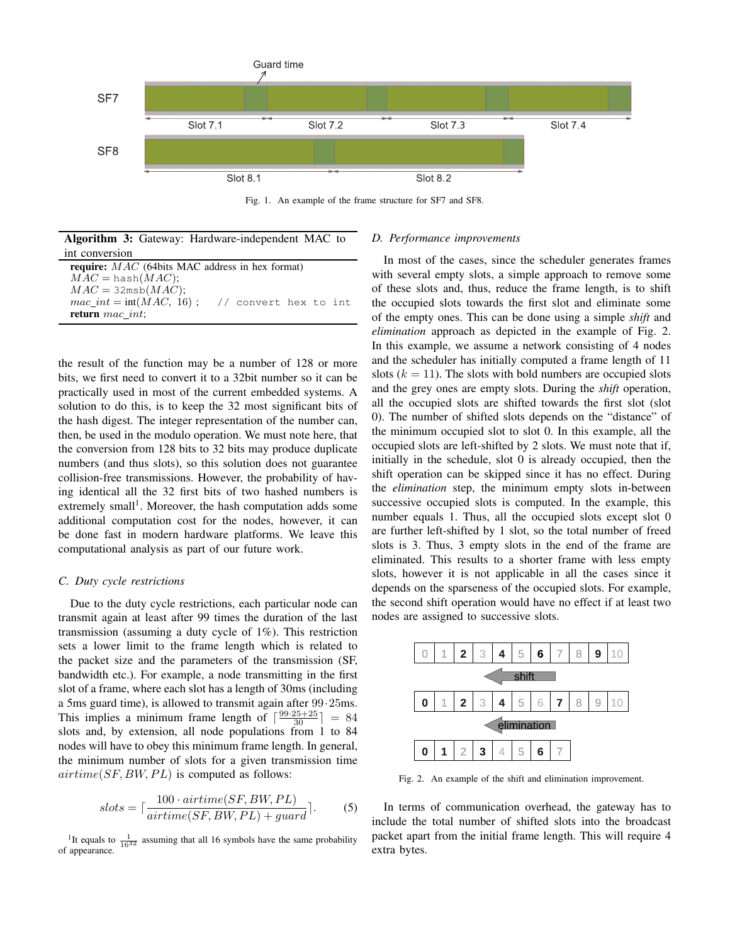

Fig. 1. An example of the frame structure for SF7 and SF8.

Algorithm 3: Gateway: Hardware-independent MAC to int conversion require: MAC (64bits MAC address in hex format)

| $MAC = hash(MAC);$                                |  |  |  |
|---------------------------------------------------|--|--|--|
| $MAC = 32 \text{msb}(MAC);$                       |  |  |  |
| $mac\_int = int(MAC, 16)$ ; // convert hex to int |  |  |  |
| return $mac$ int;                                 |  |  |  |

the result of the function may be a number of 128 or more bits, we first need to convert it to a 32bit number so it can be practically used in most of the current embedded systems. A solution to do this, is to keep the 32 most significant bits of the hash digest. The integer representation of the number can, then, be used in the modulo operation. We must note here, that the conversion from 128 bits to 32 bits may produce duplicate numbers (and thus slots), so this solution does not guarantee collision-free transmissions. However, the probability of having identical all the 32 first bits of two hashed numbers is extremely small<sup>1</sup>. Moreover, the hash computation adds some additional computation cost for the nodes, however, it can be done fast in modern hardware platforms. We leave this computational analysis as part of our future work.

#### *C. Duty cycle restrictions*

Due to the duty cycle restrictions, each particular node can transmit again at least after 99 times the duration of the last transmission (assuming a duty cycle of 1%). This restriction sets a lower limit to the frame length which is related to the packet size and the parameters of the transmission (SF, bandwidth etc.). For example, a node transmitting in the first slot of a frame, where each slot has a length of 30ms (including a 5ms guard time), is allowed to transmit again after 99·25ms. This implies a minimum frame length of  $\lceil \frac{99.25+25}{30} \rceil = 84$ slots and, by extension, all node populations from 1 to 84 nodes will have to obey this minimum frame length. In general, the minimum number of slots for a given transmission time  $airtime(SF, BW, PL)$  is computed as follows:

$$
slosts = \lceil \frac{100 \cdot airtime(SF, BW, PL)}{airtime(SF, BW, PL) + guard} \rceil. \tag{5}
$$

<sup>1</sup>It equals to  $\frac{1}{16^{32}}$  assuming that all 16 symbols have the same probability of appearance.

#### *D. Performance improvements*

In most of the cases, since the scheduler generates frames with several empty slots, a simple approach to remove some of these slots and, thus, reduce the frame length, is to shift the occupied slots towards the first slot and eliminate some of the empty ones. This can be done using a simple *shift* and *elimination* approach as depicted in the example of Fig. 2. In this example, we assume a network consisting of 4 nodes and the scheduler has initially computed a frame length of 11 slots ( $k = 11$ ). The slots with bold numbers are occupied slots and the grey ones are empty slots. During the *shift* operation, all the occupied slots are shifted towards the first slot (slot 0). The number of shifted slots depends on the "distance" of the minimum occupied slot to slot 0. In this example, all the occupied slots are left-shifted by 2 slots. We must note that if, initially in the schedule, slot 0 is already occupied, then the shift operation can be skipped since it has no effect. During the *elimination* step, the minimum empty slots in-between successive occupied slots is computed. In the example, this number equals 1. Thus, all the occupied slots except slot 0 are further left-shifted by 1 slot, so the total number of freed slots is 3. Thus, 3 empty slots in the end of the frame are eliminated. This results to a shorter frame with less empty slots, however it is not applicable in all the cases since it depends on the sparseness of the occupied slots. For example, the second shift operation would have no effect if at least two nodes are assigned to successive slots.



Fig. 2. An example of the shift and elimination improvement.

In terms of communication overhead, the gateway has to include the total number of shifted slots into the broadcast packet apart from the initial frame length. This will require 4 extra bytes.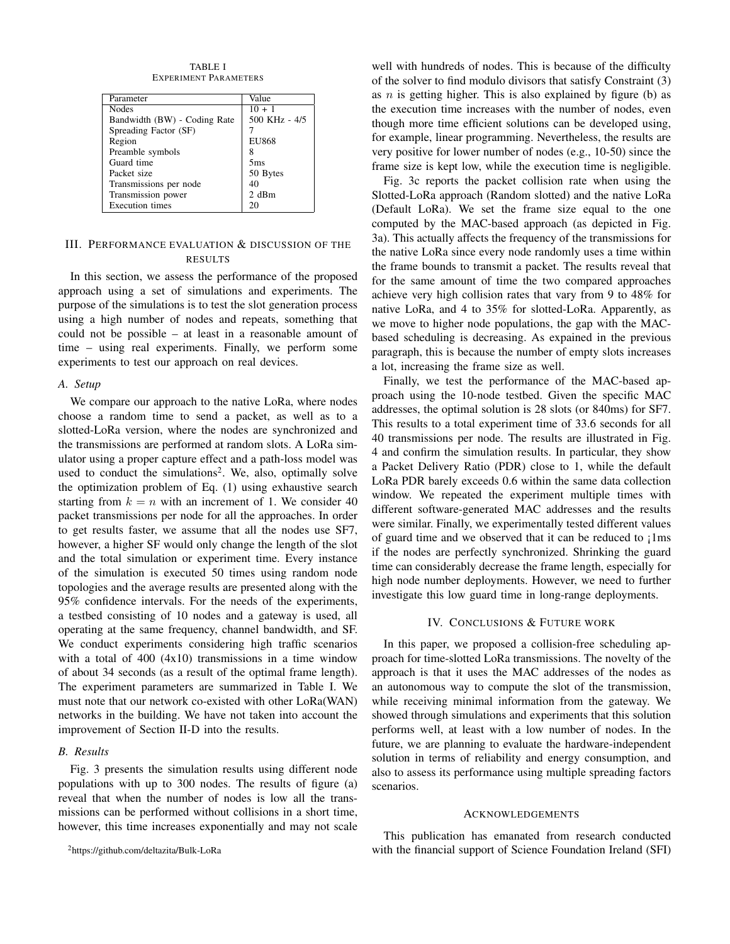TABLE I EXPERIMENT PARAMETERS

| Parameter                    | Value           |
|------------------------------|-----------------|
| <b>Nodes</b>                 | $10 + 1$        |
| Bandwidth (BW) - Coding Rate | 500 KHz - 4/5   |
| Spreading Factor (SF)        |                 |
| Region                       | <b>EU868</b>    |
| Preamble symbols             |                 |
| Guard time                   | 5 <sub>ms</sub> |
| Packet size                  | 50 Bytes        |
| Transmissions per node       | 40              |
| Transmission power           | 2 dBm           |
| <b>Execution times</b>       | 20              |

# III. PERFORMANCE EVALUATION & DISCUSSION OF THE **RESULTS**

In this section, we assess the performance of the proposed approach using a set of simulations and experiments. The purpose of the simulations is to test the slot generation process using a high number of nodes and repeats, something that could not be possible – at least in a reasonable amount of time – using real experiments. Finally, we perform some experiments to test our approach on real devices.

#### *A. Setup*

We compare our approach to the native LoRa, where nodes choose a random time to send a packet, as well as to a slotted-LoRa version, where the nodes are synchronized and the transmissions are performed at random slots. A LoRa simulator using a proper capture effect and a path-loss model was used to conduct the simulations<sup>2</sup>. We, also, optimally solve the optimization problem of Eq. (1) using exhaustive search starting from  $k = n$  with an increment of 1. We consider 40 packet transmissions per node for all the approaches. In order to get results faster, we assume that all the nodes use SF7, however, a higher SF would only change the length of the slot and the total simulation or experiment time. Every instance of the simulation is executed 50 times using random node topologies and the average results are presented along with the 95% confidence intervals. For the needs of the experiments, a testbed consisting of 10 nodes and a gateway is used, all operating at the same frequency, channel bandwidth, and SF. We conduct experiments considering high traffic scenarios with a total of  $400 (4x10)$  transmissions in a time window of about 34 seconds (as a result of the optimal frame length). The experiment parameters are summarized in Table I. We must note that our network co-existed with other LoRa(WAN) networks in the building. We have not taken into account the improvement of Section II-D into the results.

#### *B. Results*

Fig. 3 presents the simulation results using different node populations with up to 300 nodes. The results of figure (a) reveal that when the number of nodes is low all the transmissions can be performed without collisions in a short time, however, this time increases exponentially and may not scale

<sup>2</sup>https://github.com/deltazita/Bulk-LoRa

well with hundreds of nodes. This is because of the difficulty of the solver to find modulo divisors that satisfy Constraint (3) as  $n$  is getting higher. This is also explained by figure (b) as the execution time increases with the number of nodes, even though more time efficient solutions can be developed using, for example, linear programming. Nevertheless, the results are very positive for lower number of nodes (e.g., 10-50) since the frame size is kept low, while the execution time is negligible.

Fig. 3c reports the packet collision rate when using the Slotted-LoRa approach (Random slotted) and the native LoRa (Default LoRa). We set the frame size equal to the one computed by the MAC-based approach (as depicted in Fig. 3a). This actually affects the frequency of the transmissions for the native LoRa since every node randomly uses a time within the frame bounds to transmit a packet. The results reveal that for the same amount of time the two compared approaches achieve very high collision rates that vary from 9 to 48% for native LoRa, and 4 to 35% for slotted-LoRa. Apparently, as we move to higher node populations, the gap with the MACbased scheduling is decreasing. As expained in the previous paragraph, this is because the number of empty slots increases a lot, increasing the frame size as well.

Finally, we test the performance of the MAC-based approach using the 10-node testbed. Given the specific MAC addresses, the optimal solution is 28 slots (or 840ms) for SF7. This results to a total experiment time of 33.6 seconds for all 40 transmissions per node. The results are illustrated in Fig. 4 and confirm the simulation results. In particular, they show a Packet Delivery Ratio (PDR) close to 1, while the default LoRa PDR barely exceeds 0.6 within the same data collection window. We repeated the experiment multiple times with different software-generated MAC addresses and the results were similar. Finally, we experimentally tested different values of guard time and we observed that it can be reduced to ¡1ms if the nodes are perfectly synchronized. Shrinking the guard time can considerably decrease the frame length, especially for high node number deployments. However, we need to further investigate this low guard time in long-range deployments.

#### IV. CONCLUSIONS & FUTURE WORK

In this paper, we proposed a collision-free scheduling approach for time-slotted LoRa transmissions. The novelty of the approach is that it uses the MAC addresses of the nodes as an autonomous way to compute the slot of the transmission, while receiving minimal information from the gateway. We showed through simulations and experiments that this solution performs well, at least with a low number of nodes. In the future, we are planning to evaluate the hardware-independent solution in terms of reliability and energy consumption, and also to assess its performance using multiple spreading factors scenarios.

#### ACKNOWLEDGEMENTS

This publication has emanated from research conducted with the financial support of Science Foundation Ireland (SFI)